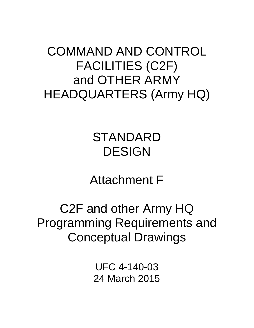COMMAND AND CONTROL FACILITIES (C2F) and OTHER ARMY HEADQUARTERS (Army HQ)

## STANDARD DESIGN

Attachment F

C2F and other Army HQ Programming Requirements and Conceptual Drawings

> UFC 4-140-03 24 March 2015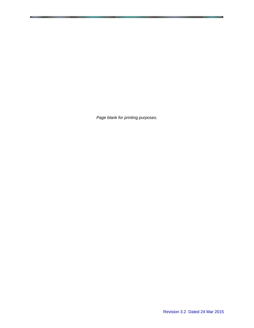*Page blank for printing purposes.*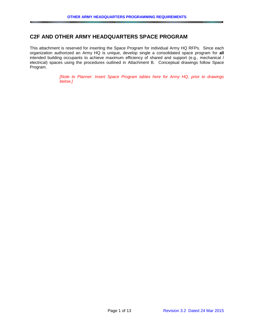## **C2F AND OTHER ARMY HEADQUARTERS SPACE PROGRAM**

This attachment is reserved for inserting the Space Program for individual Army HQ RFPs. Since each organization authorized an Army HQ is unique, develop single a consolidated space program for **all** intended building occupants to achieve maximum efficiency of shared and support (e.g., mechanical / electrical) spaces using the procedures outlined in Attachment B. Conceptual drawings follow Space Program.

> *[Note to Planner: Insert Space Program tables here for Army HQ, prior to drawings below.]*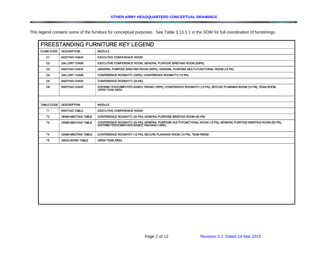This legend contains some of the furniture for conceptual purposes. See Table 3.13.1.1 in the SOW for full coordination of furnishings.

| <b>FREESTANDING FURNITURE KEY LEGEND</b> |                      |                                                                                                                                                                  |
|------------------------------------------|----------------------|------------------------------------------------------------------------------------------------------------------------------------------------------------------|
| <b>CHAIR CODE</b>                        | <b>DESCRIPTION</b>   | <b>MODULE</b>                                                                                                                                                    |
| C <sub>1</sub>                           | <b>MEETING CHAIR</b> | <b>EXECUTIVE CONFERENCE ROOM</b>                                                                                                                                 |
| C <sub>2</sub>                           | <b>GALLERY CHAIR</b> | EXECUTIVE CONFERENCE ROOM, GENERAL PURPOSE BRIEFING ROOM (50PN)                                                                                                  |
| C <sub>3</sub>                           | <b>MEETING CHAIR</b> | GENERAL PURPOSE BRIEFING ROOM (50PN), GENERAL PURPOSE MULTI-FUNCTIONAL ROOM (12 PN)                                                                              |
| C <sub>4</sub>                           | <b>GALLERY CHAIR</b> | CONFERENCE ROOM/VTC (24PN), CONFERENCE ROOM/VTC (12 PN)                                                                                                          |
| C <sub>5</sub>                           | <b>MEETING CHAIR</b> | CONFERENCE ROOM/VTC (24 PN)                                                                                                                                      |
| C <sub>6</sub>                           | <b>MEETING CHAIR</b> | DISTRIBUTED/COMPUTER-BASED TRAING (16PN), CONFERENCE ROOM/VTC (12 PN), SECURE PLANNING ROOM (10 PN), TEAM ROOM,<br><b>OPEN TEAM AREA</b>                         |
|                                          |                      |                                                                                                                                                                  |
| <b>TABLE CODE</b>                        | <b>DESCRIPTION</b>   | <b>MODULE</b>                                                                                                                                                    |
| <b>T1</b>                                | <b>MEETING TABLE</b> | <b>EXECUTIVE CONFERENCE ROOM</b>                                                                                                                                 |
| T <sub>2</sub>                           | 36X60 MEETING TABLE  | CONFERENCE ROOM/VTC (24 PN), GENERAL PURPOSE BRIEFING ROOM (50 PN)                                                                                               |
| T <sub>3</sub>                           | 30X60 MEETING TABLE  | CONFERENCE ROOM/VTC (24 PN), GENERAL PURPOSE MULTI-FUNCTIONAL ROOM (12 PN), GENERAL PURPOSE BRIEFING ROOM (50 PN),<br>DISTRIBUTED/COMPUTER-BASED TRAINING (16PN) |
| <b>T4</b>                                | 42X60 MEETING TABLE  | CONFERENCE ROOM/VCT (12 PN), SECURE PLANNING ROOM (10 PN), TEAM ROOM                                                                                             |
| T <sub>5</sub>                           | 30X42 WORK TABLE     | <b>OPEN TEAM AREA</b>                                                                                                                                            |
|                                          |                      |                                                                                                                                                                  |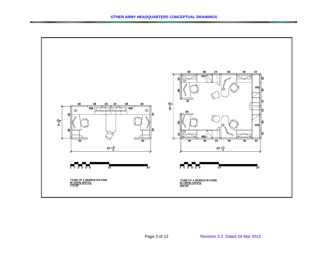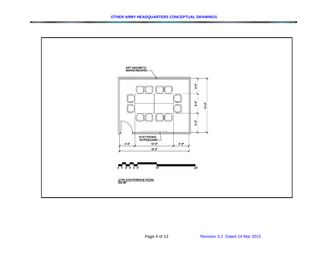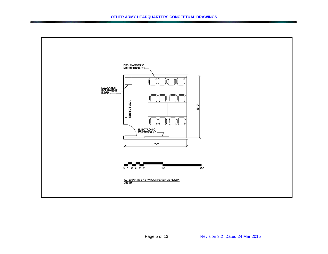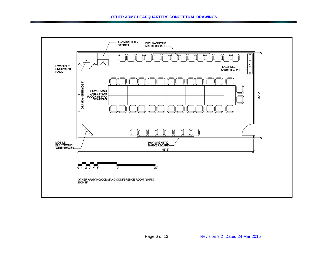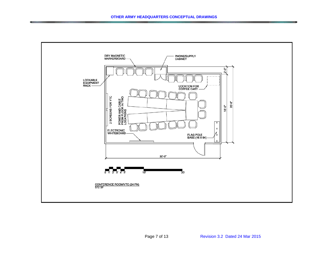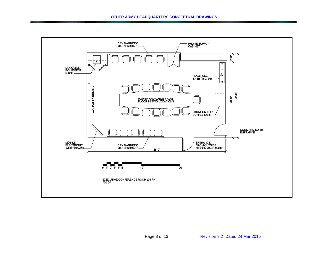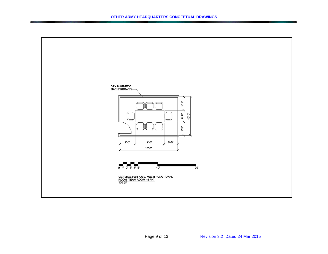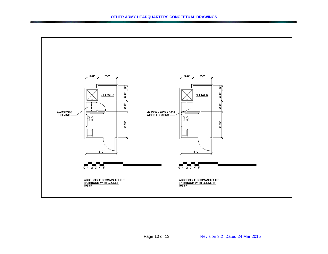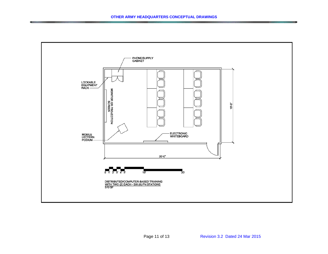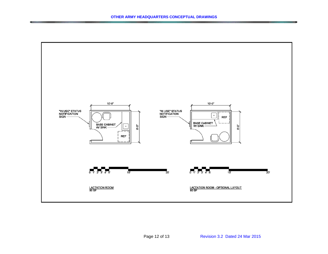